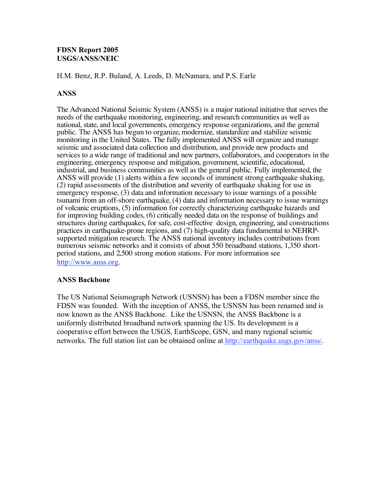### **FDSN Report 2005 USGS/ANSS/NEIC**

H.M. Benz, R.P. Buland, A. Leeds, D. McNamara, and P.S. Earle

#### **ANSS**

The Advanced National Seismic System (ANSS) is a major national initiative that serves the needs of the earthquake monitoring, engineering, and research communities as well as national, state, and local governments, emergency response organizations, and the general public. The ANSS has begun to organize, modernize, standardize and stabilize seismic monitoring in the United States. The fully implemented ANSS will organize and manage seismic and associated data collection and distribution, and provide new products and services to a wide range of traditional and new partners, collaborators, and cooperators in the engineering, emergency response and mitigation, government, scientific, educational, industrial, and business communities as well as the general public. Fully implemented, the ANSS will provide (1) alerts within a few seconds of imminent strong earthquake shaking, (2) rapid assessments of the distribution and severity of earthquake shaking for use in emergency response, (3) data and information necessary to issue warnings of a possible tsunami from an off-shore earthquake, (4) data and information necessary to issue warnings of volcanic eruptions, (5) information for correctly characterizing earthquake hazards and for improving building codes, (6) critically needed data on the response of buildings and structures during earthquakes, for safe, cost-effective design, engineering, and constructions practices in earthquake-prone regions, and (7) high-quality data fundamental to NEHRPsupported mitigation research. The ANSS national inventory includes contributions from numerous seismic networks and it consists of about 550 broadband stations, 1,350 shortperiod stations, and 2,500 strong motion stations. For more information see http://www.anss.org.

#### **ANSS Backbone**

The US National Seismograph Network (USNSN) has been a FDSN member since the FDSN was founded. With the inception of ANSS, the USNSN has been renamed and is now known as the ANSS Backbone. Like the USNSN, the ANSS Backbone is a uniformly distributed broadband network spanning the US. Its development is a cooperative effort between the USGS, EarthScope, GSN, and many regional seismic networks. The full station list can be obtained online at http://earthquake.usgs.gov/anss/.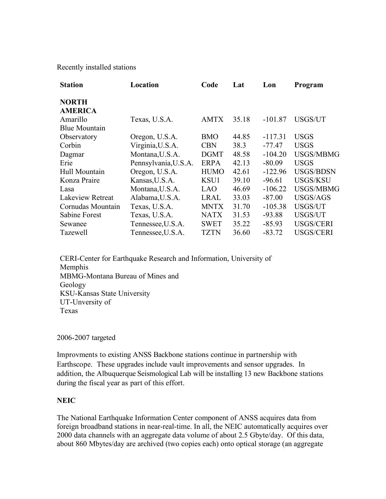Recently installed stations

| <b>Station</b>       | Location             | Code        | Lat   | Lon       | Program          |
|----------------------|----------------------|-------------|-------|-----------|------------------|
| <b>NORTH</b>         |                      |             |       |           |                  |
| <b>AMERICA</b>       |                      |             |       |           |                  |
| Amarillo             | Texas, U.S.A.        | <b>AMTX</b> | 35.18 | $-101.87$ | USGS/UT          |
| <b>Blue Mountain</b> |                      |             |       |           |                  |
| Observatory          | Oregon, U.S.A.       | <b>BMO</b>  | 44.85 | $-117.31$ | <b>USGS</b>      |
| Corbin               | Virginia, U.S.A.     | <b>CBN</b>  | 38.3  | -77.47    | <b>USGS</b>      |
| Dagmar               | Montana, U.S.A.      | <b>DGMT</b> | 48.58 | $-104.20$ | USGS/MBMG        |
| Erie                 | Pennsylvania, U.S.A. | <b>ERPA</b> | 42.13 | $-80.09$  | <b>USGS</b>      |
| Hull Mountain        | Oregon, U.S.A.       | <b>HUMO</b> | 42.61 | $-122.96$ | USGS/BDSN        |
| Konza Praire         | Kansas, U.S.A.       | KSU1        | 39.10 | $-96.61$  | <b>USGS/KSU</b>  |
| Lasa                 | Montana, U.S.A.      | LAO         | 46.69 | $-106.22$ | <b>USGS/MBMG</b> |
| Lakeview Retreat     | Alabama, U.S.A.      | <b>LRAL</b> | 33.03 | $-87.00$  | USGS/AGS         |
| Cornudas Mountain    | Texas, U.S.A.        | <b>MNTX</b> | 31.70 | $-105.38$ | USGS/UT          |
| Sabine Forest        | Texas, U.S.A.        | <b>NATX</b> | 31.53 | $-93.88$  | USGS/UT          |
| Sewanee              | Tennessee, U.S.A.    | <b>SWET</b> | 35.22 | $-85.93$  | <b>USGS/CERI</b> |
| Tazewell             | Tennessee, U.S.A.    | <b>TZTN</b> | 36.60 | $-83.72$  | <b>USGS/CERI</b> |

CERI-Center for Earthquake Research and Information, University of Memphis MBMG-Montana Bureau of Mines and Geology KSU-Kansas State University UT-Unversity of Texas

2006-2007 targeted

Improvments to existing ANSS Backbone stations continue in partnership with Earthscope. These upgrades include vault improvements and sensor upgrades. In addition, the Albuquerque Seismological Lab will be installing 13 new Backbone stations during the fiscal year as part of this effort.

# **NEIC**

The National Earthquake Information Center component of ANSS acquires data from foreign broadband stations in near-real-time. In all, the NEIC automatically acquires over 2000 data channels with an aggregate data volume of about 2.5 Gbyte/day. Of this data, about 860 Mbytes/day are archived (two copies each) onto optical storage (an aggregate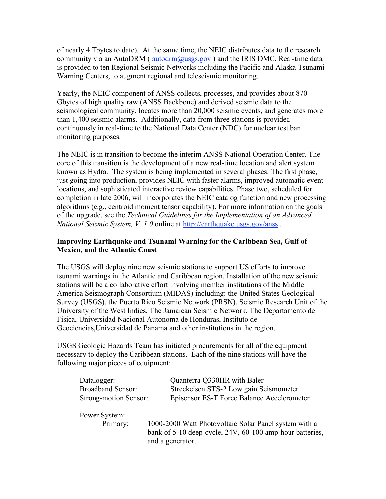of nearly 4 Tbytes to date). At the same time, the NEIC distributes data to the research community via an AutoDRM ( $\frac{\text{autodrm}(a) \text{usgs.gov}}{\text{ausps}}$ ) and the IRIS DMC. Real-time data is provided to ten Regional Seismic Networks including the Pacific and Alaska Tsunami Warning Centers, to augment regional and teleseismic monitoring.

Yearly, the NEIC component of ANSS collects, processes, and provides about 870 Gbytes of high quality raw (ANSS Backbone) and derived seismic data to the seismological community, locates more than 20,000 seismic events, and generates more than 1,400 seismic alarms. Additionally, data from three stations is provided continuously in real-time to the National Data Center (NDC) for nuclear test ban monitoring purposes.

The NEIC is in transition to become the interim ANSS National Operation Center. The core of this transition is the development of a new real-time location and alert system known as Hydra. The system is being implemented in several phases. The first phase, just going into production, provides NEIC with faster alarms, improved automatic event locations, and sophisticated interactive review capabilities. Phase two, scheduled for completion in late 2006, will incorporates the NEIC catalog function and new processing algorithms (e.g., centroid moment tensor capability). For more information on the goals of the upgrade, see the *Technical Guidelines for the Implementation of an Advanced National Seismic System, V. 1.0* online at http://earthquake.usgs.gov/anss .

# **Improving Earthquake and Tsunami Warning for the Caribbean Sea, Gulf of Mexico, and the Atlantic Coast**

The USGS will deploy nine new seismic stations to support US efforts to improve tsunami warnings in the Atlantic and Caribbean region. Installation of the new seismic stations will be a collaborative effort involving member institutions of the Middle America Seismograph Consortium (MIDAS) including: the United States Geological Survey (USGS), the Puerto Rico Seismic Network (PRSN), Seismic Research Unit of the University of the West Indies, The Jamaican Seismic Network, The Departamento de Fisica, Universidad Nacional Autonoma de Honduras, Instituto de Geociencias,Universidad de Panama and other institutions in the region.

USGS Geologic Hazards Team has initiated procurements for all of the equipment necessary to deploy the Caribbean stations. Each of the nine stations will have the following major pieces of equipment:

| Datalogger:                  | Quanterra Q330HR with Baler                              |
|------------------------------|----------------------------------------------------------|
| <b>Broadband Sensor:</b>     | Streckeisen STS-2 Low gain Seismometer                   |
| <b>Strong-motion Sensor:</b> | Episensor ES-T Force Balance Accelerometer               |
| Power System:                |                                                          |
| Primary:                     | 1000-2000 Watt Photovoltaic Solar Panel system with a    |
|                              | bank of 5-10 deep-cycle, 24V, 60-100 amp-hour batteries, |
|                              | and a generator.                                         |